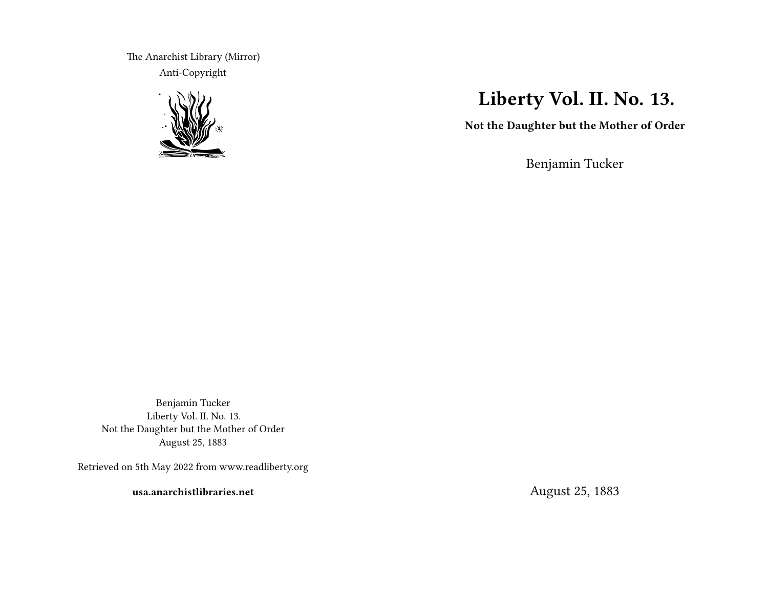The Anarchist Library (Mirror) Anti-Copyright



## **Liberty Vol. II. No. 13.**

**Not the Daughter but the Mother of Order**

Benjamin Tucker

Benjamin Tucker Liberty Vol. II. No. 13. Not the Daughter but the Mother of Order August 25, 1883

Retrieved on 5th May 2022 from www.readliberty.org

**usa.anarchistlibraries.net**

August 25, 1883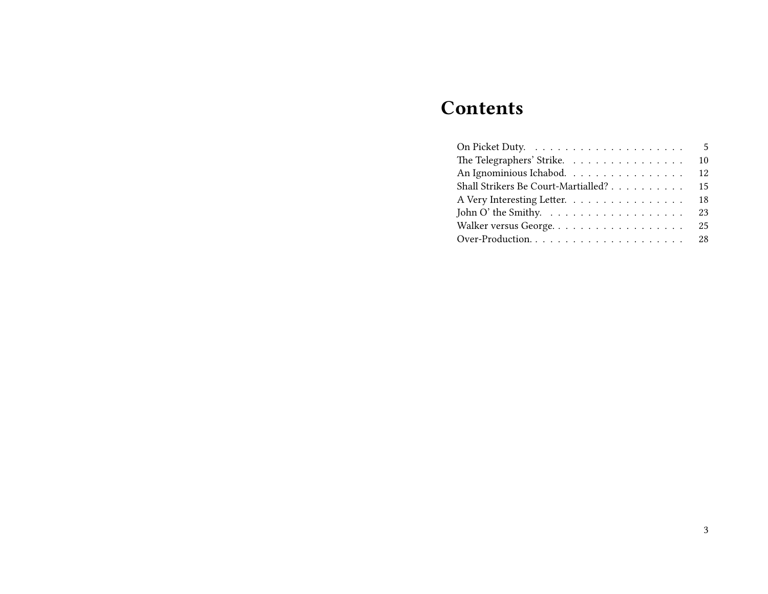# **Contents**

|                                                           | - 5 |
|-----------------------------------------------------------|-----|
| The Telegraphers' Strike.                                 | 10  |
| An Ignominious Ichabod.                                   | 12  |
| Shall Strikers Be Court-Martialled?                       | 15  |
| A Very Interesting Letter.                                | 18  |
| John O' the Smithy. $\dots \dots \dots \dots \dots \dots$ | 23  |
|                                                           |     |
| Over-Production 28                                        |     |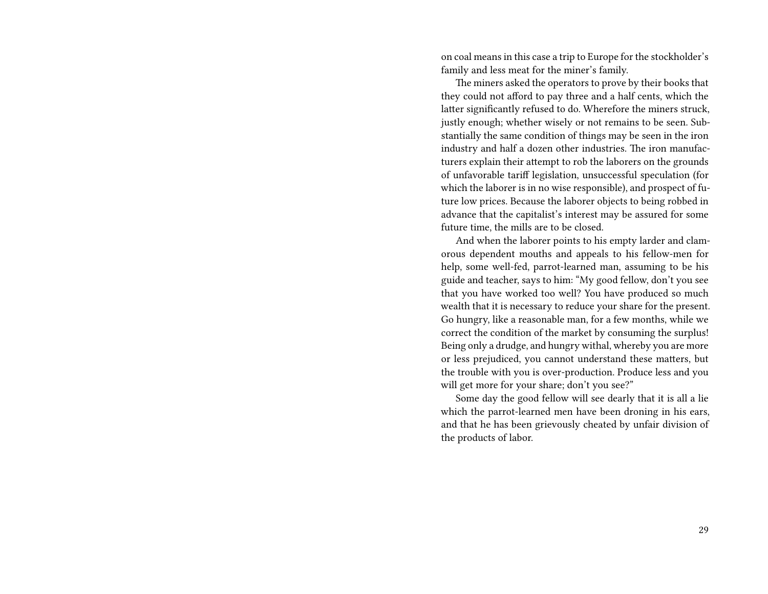on coal means in this case a trip to Europe for the stockholder's family and less meat for the miner's family.

The miners asked the operators to prove by their books that they could not afford to pay three and a half cents, which the latter significantly refused to do. Wherefore the miners struck, justly enough; whether wisely or not remains to be seen. Substantially the same condition of things may be seen in the iron industry and half a dozen other industries. The iron manufacturers explain their attempt to rob the laborers on the grounds of unfavorable tariff legislation, unsuccessful speculation (for which the laborer is in no wise responsible), and prospect of future low prices. Because the laborer objects to being robbed in advance that the capitalist's interest may be assured for some future time, the mills are to be closed.

And when the laborer points to his empty larder and clamorous dependent mouths and appeals to his fellow-men for help, some well-fed, parrot-learned man, assuming to be his guide and teacher, says to him: "My good fellow, don't you see that you have worked too well? You have produced so much wealth that it is necessary to reduce your share for the present. Go hungry, like a reasonable man, for a few months, while we correct the condition of the market by consuming the surplus! Being only a drudge, and hungry withal, whereby you are more or less prejudiced, you cannot understand these matters, but the trouble with you is over-production. Produce less and you will get more for your share; don't you see?"

Some day the good fellow will see dearly that it is all a lie which the parrot-learned men have been droning in his ears, and that he has been grievously cheated by unfair division of the products of labor.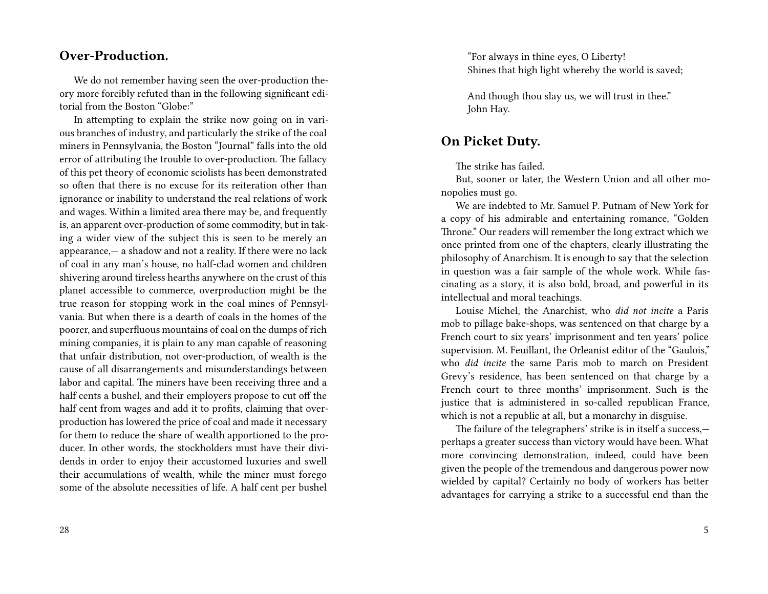#### **Over-Production.**

We do not remember having seen the over-production theory more forcibly refuted than in the following significant editorial from the Boston "Globe:"

In attempting to explain the strike now going on in various branches of industry, and particularly the strike of the coal miners in Pennsylvania, the Boston "Journal" falls into the old error of attributing the trouble to over-production. The fallacy of this pet theory of economic sciolists has been demonstrated so often that there is no excuse for its reiteration other than ignorance or inability to understand the real relations of work and wages. Within a limited area there may be, and frequently is, an apparent over-production of some commodity, but in taking a wider view of the subject this is seen to be merely an appearance,— a shadow and not a reality. If there were no lack of coal in any man's house, no half-clad women and children shivering around tireless hearths anywhere on the crust of this planet accessible to commerce, overproduction might be the true reason for stopping work in the coal mines of Pennsylvania. But when there is a dearth of coals in the homes of the poorer, and superfluous mountains of coal on the dumps of rich mining companies, it is plain to any man capable of reasoning that unfair distribution, not over-production, of wealth is the cause of all disarrangements and misunderstandings between labor and capital. The miners have been receiving three and a half cents a bushel, and their employers propose to cut off the half cent from wages and add it to profits, claiming that overproduction has lowered the price of coal and made it necessary for them to reduce the share of wealth apportioned to the producer. In other words, the stockholders must have their dividends in order to enjoy their accustomed luxuries and swell their accumulations of wealth, while the miner must forego some of the absolute necessities of life. A half cent per bushel

"For always in thine eyes, O Liberty! Shines that high light whereby the world is saved;

And though thou slay us, we will trust in thee." John Hay.

#### **On Picket Duty.**

The strike has failed.

But, sooner or later, the Western Union and all other monopolies must go.

We are indebted to Mr. Samuel P. Putnam of New York for a copy of his admirable and entertaining romance, "Golden Throne." Our readers will remember the long extract which we once printed from one of the chapters, clearly illustrating the philosophy of Anarchism. It is enough to say that the selection in question was a fair sample of the whole work. While fascinating as a story, it is also bold, broad, and powerful in its intellectual and moral teachings.

Louise Michel, the Anarchist, who *did not incite* a Paris mob to pillage bake-shops, was sentenced on that charge by a French court to six years' imprisonment and ten years' police supervision. M. Feuillant, the Orleanist editor of the "Gaulois," who *did incite* the same Paris mob to march on President Grevy's residence, has been sentenced on that charge by a French court to three months' imprisonment. Such is the justice that is administered in so-called republican France, which is not a republic at all, but a monarchy in disguise.

The failure of the telegraphers' strike is in itself a success, perhaps a greater success than victory would have been. What more convincing demonstration, indeed, could have been given the people of the tremendous and dangerous power now wielded by capital? Certainly no body of workers has better advantages for carrying a strike to a successful end than the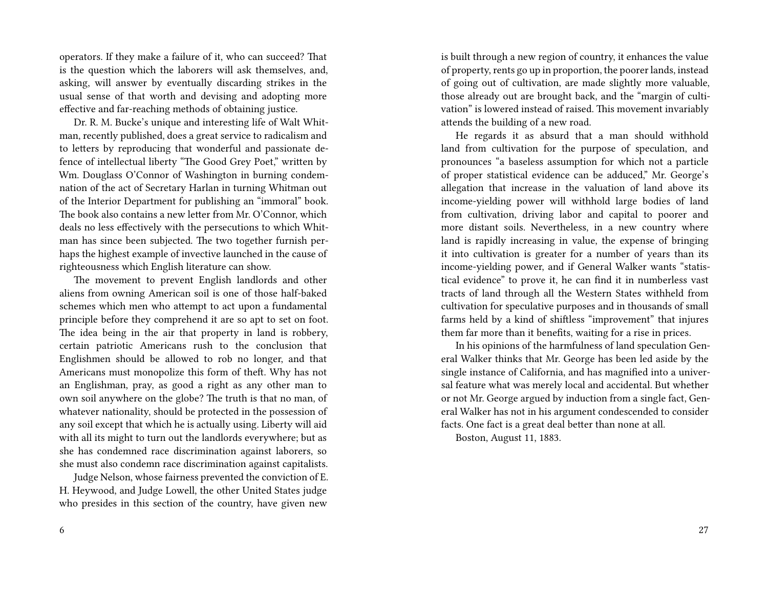operators. If they make a failure of it, who can succeed? That is the question which the laborers will ask themselves, and, asking, will answer by eventually discarding strikes in the usual sense of that worth and devising and adopting more effective and far-reaching methods of obtaining justice.

Dr. R. M. Bucke's unique and interesting life of Walt Whitman, recently published, does a great service to radicalism and to letters by reproducing that wonderful and passionate defence of intellectual liberty "The Good Grey Poet," written by Wm. Douglass O'Connor of Washington in burning condemnation of the act of Secretary Harlan in turning Whitman out of the Interior Department for publishing an "immoral" book. The book also contains a new letter from Mr. O'Connor, which deals no less effectively with the persecutions to which Whitman has since been subjected. The two together furnish perhaps the highest example of invective launched in the cause of righteousness which English literature can show.

The movement to prevent English landlords and other aliens from owning American soil is one of those half-baked schemes which men who attempt to act upon a fundamental principle before they comprehend it are so apt to set on foot. The idea being in the air that property in land is robbery, certain patriotic Americans rush to the conclusion that Englishmen should be allowed to rob no longer, and that Americans must monopolize this form of theft. Why has not an Englishman, pray, as good a right as any other man to own soil anywhere on the globe? The truth is that no man, of whatever nationality, should be protected in the possession of any soil except that which he is actually using. Liberty will aid with all its might to turn out the landlords everywhere; but as she has condemned race discrimination against laborers, so she must also condemn race discrimination against capitalists.

Judge Nelson, whose fairness prevented the conviction of E. H. Heywood, and Judge Lowell, the other United States judge who presides in this section of the country, have given new

is built through a new region of country, it enhances the value of property, rents go up in proportion, the poorer lands, instead of going out of cultivation, are made slightly more valuable, those already out are brought back, and the "margin of cultivation" is lowered instead of raised. This movement invariably attends the building of a new road.

He regards it as absurd that a man should withhold land from cultivation for the purpose of speculation, and pronounces "a baseless assumption for which not a particle of proper statistical evidence can be adduced," Mr. George's allegation that increase in the valuation of land above its income-yielding power will withhold large bodies of land from cultivation, driving labor and capital to poorer and more distant soils. Nevertheless, in a new country where land is rapidly increasing in value, the expense of bringing it into cultivation is greater for a number of years than its income-yielding power, and if General Walker wants "statistical evidence" to prove it, he can find it in numberless vast tracts of land through all the Western States withheld from cultivation for speculative purposes and in thousands of small farms held by a kind of shiftless "improvement" that injures them far more than it benefits, waiting for a rise in prices.

In his opinions of the harmfulness of land speculation General Walker thinks that Mr. George has been led aside by the single instance of California, and has magnified into a universal feature what was merely local and accidental. But whether or not Mr. George argued by induction from a single fact, General Walker has not in his argument condescended to consider facts. One fact is a great deal better than none at all.

Boston, August 11, 1883.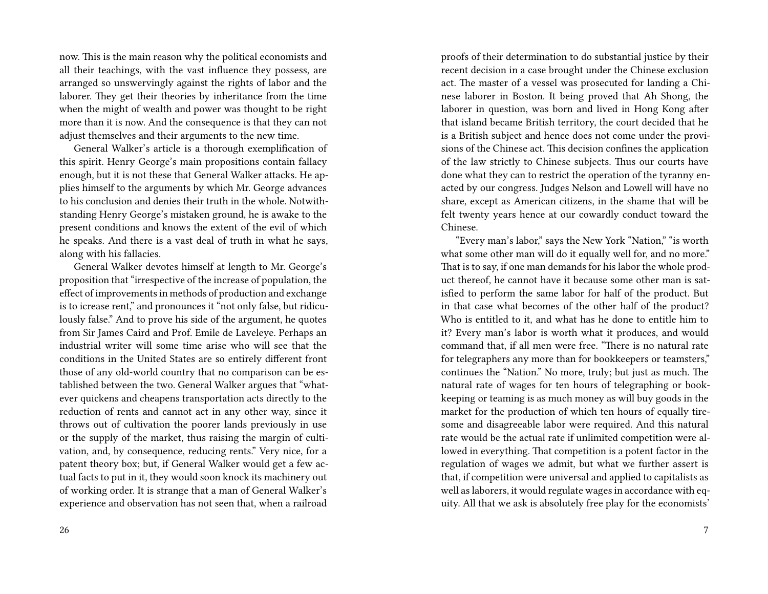now. This is the main reason why the political economists and all their teachings, with the vast influence they possess, are arranged so unswervingly against the rights of labor and the laborer. They get their theories by inheritance from the time when the might of wealth and power was thought to be right more than it is now. And the consequence is that they can not adjust themselves and their arguments to the new time.

General Walker's article is a thorough exemplification of this spirit. Henry George's main propositions contain fallacy enough, but it is not these that General Walker attacks. He applies himself to the arguments by which Mr. George advances to his conclusion and denies their truth in the whole. Notwithstanding Henry George's mistaken ground, he is awake to the present conditions and knows the extent of the evil of which he speaks. And there is a vast deal of truth in what he says, along with his fallacies.

General Walker devotes himself at length to Mr. George's proposition that "irrespective of the increase of population, the effect of improvements in methods of production and exchange is to icrease rent," and pronounces it "not only false, but ridiculously false." And to prove his side of the argument, he quotes from Sir James Caird and Prof. Emile de Laveleye. Perhaps an industrial writer will some time arise who will see that the conditions in the United States are so entirely different front those of any old-world country that no comparison can be established between the two. General Walker argues that "whatever quickens and cheapens transportation acts directly to the reduction of rents and cannot act in any other way, since it throws out of cultivation the poorer lands previously in use or the supply of the market, thus raising the margin of cultivation, and, by consequence, reducing rents." Very nice, for a patent theory box; but, if General Walker would get a few actual facts to put in it, they would soon knock its machinery out of working order. It is strange that a man of General Walker's experience and observation has not seen that, when a railroad

proofs of their determination to do substantial justice by their recent decision in a case brought under the Chinese exclusion act. The master of a vessel was prosecuted for landing a Chinese laborer in Boston. It being proved that Ah Shong, the laborer in question, was born and lived in Hong Kong after that island became British territory, the court decided that he is a British subject and hence does not come under the provisions of the Chinese act. This decision confines the application of the law strictly to Chinese subjects. Thus our courts have done what they can to restrict the operation of the tyranny enacted by our congress. Judges Nelson and Lowell will have no share, except as American citizens, in the shame that will be felt twenty years hence at our cowardly conduct toward the Chinese.

"Every man's labor," says the New York "Nation," "is worth what some other man will do it equally well for, and no more." That is to say, if one man demands for his labor the whole product thereof, he cannot have it because some other man is satisfied to perform the same labor for half of the product. But in that case what becomes of the other half of the product? Who is entitled to it, and what has he done to entitle him to it? Every man's labor is worth what it produces, and would command that, if all men were free. "There is no natural rate for telegraphers any more than for bookkeepers or teamsters," continues the "Nation." No more, truly; but just as much. The natural rate of wages for ten hours of telegraphing or bookkeeping or teaming is as much money as will buy goods in the market for the production of which ten hours of equally tiresome and disagreeable labor were required. And this natural rate would be the actual rate if unlimited competition were allowed in everything. That competition is a potent factor in the regulation of wages we admit, but what we further assert is that, if competition were universal and applied to capitalists as well as laborers, it would regulate wages in accordance with equity. All that we ask is absolutely free play for the economists'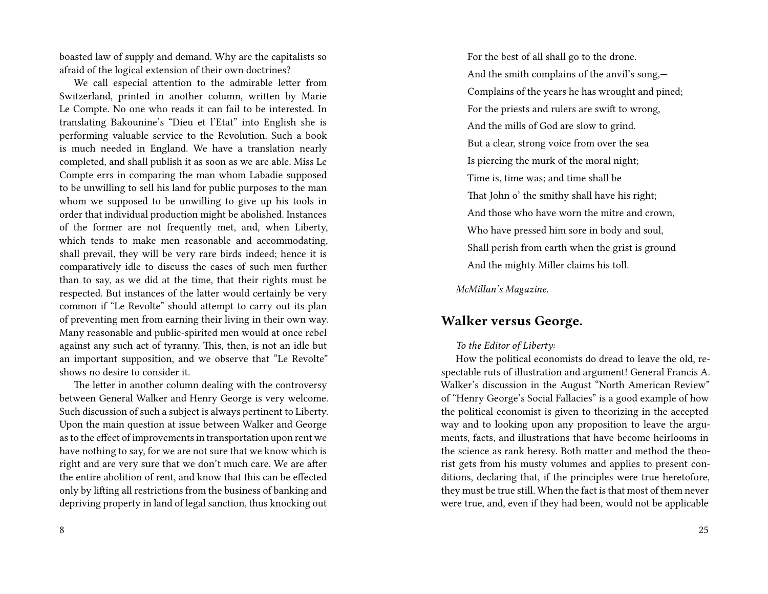boasted law of supply and demand. Why are the capitalists so afraid of the logical extension of their own doctrines?

We call especial attention to the admirable letter from Switzerland, printed in another column, written by Marie Le Compte. No one who reads it can fail to be interested. In translating Bakounine's "Dieu et l'Etat" into English she is performing valuable service to the Revolution. Such a book is much needed in England. We have a translation nearly completed, and shall publish it as soon as we are able. Miss Le Compte errs in comparing the man whom Labadie supposed to be unwilling to sell his land for public purposes to the man whom we supposed to be unwilling to give up his tools in order that individual production might be abolished. Instances of the former are not frequently met, and, when Liberty, which tends to make men reasonable and accommodating, shall prevail, they will be very rare birds indeed; hence it is comparatively idle to discuss the cases of such men further than to say, as we did at the time, that their rights must be respected. But instances of the latter would certainly be very common if "Le Revolte" should attempt to carry out its plan of preventing men from earning their living in their own way. Many reasonable and public-spirited men would at once rebel against any such act of tyranny. This, then, is not an idle but an important supposition, and we observe that "Le Revolte" shows no desire to consider it.

The letter in another column dealing with the controversy between General Walker and Henry George is very welcome. Such discussion of such a subject is always pertinent to Liberty. Upon the main question at issue between Walker and George as to the effect of improvements in transportation upon rent we have nothing to say, for we are not sure that we know which is right and are very sure that we don't much care. We are after the entire abolition of rent, and know that this can be effected only by lifting all restrictions from the business of banking and depriving property in land of legal sanction, thus knocking out

For the best of all shall go to the drone. And the smith complains of the anvil's song,— Complains of the years he has wrought and pined; For the priests and rulers are swift to wrong, And the mills of God are slow to grind. But a clear, strong voice from over the sea Is piercing the murk of the moral night; Time is, time was; and time shall be That John o' the smithy shall have his right; And those who have worn the mitre and crown, Who have pressed him sore in body and soul, Shall perish from earth when the grist is ground And the mighty Miller claims his toll.

*McMillan's Magazine.*

#### **Walker versus George.**

#### *To the Editor of Liberty:*

How the political economists do dread to leave the old, respectable ruts of illustration and argument! General Francis A. Walker's discussion in the August "North American Review" of "Henry George's Social Fallacies" is a good example of how the political economist is given to theorizing in the accepted way and to looking upon any proposition to leave the arguments, facts, and illustrations that have become heirlooms in the science as rank heresy. Both matter and method the theorist gets from his musty volumes and applies to present conditions, declaring that, if the principles were true heretofore, they must be true still. When the fact is that most of them never were true, and, even if they had been, would not be applicable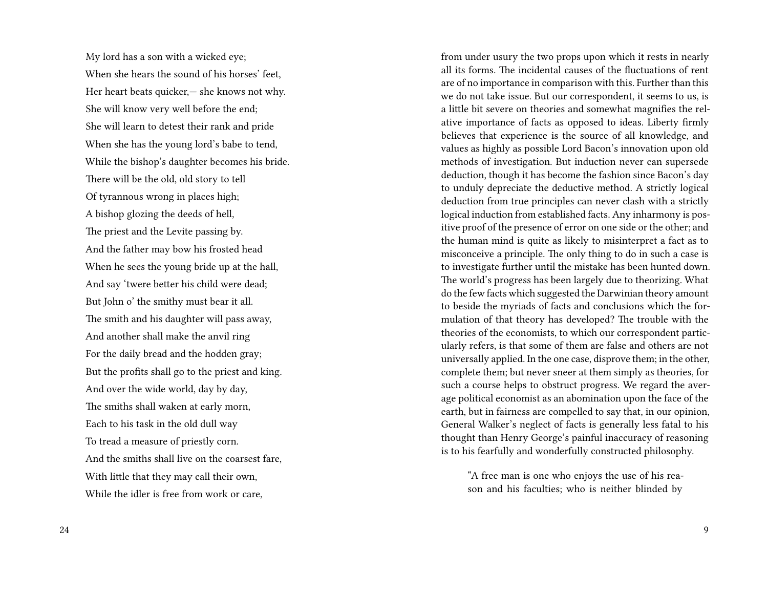My lord has a son with a wicked eye; When she hears the sound of his horses' feet, Her heart beats quicker,— she knows not why. She will know very well before the end; She will learn to detest their rank and pride When she has the young lord's babe to tend, While the bishop's daughter becomes his bride. There will be the old, old story to tell Of tyrannous wrong in places high; A bishop glozing the deeds of hell, The priest and the Levite passing by. And the father may bow his frosted head When he sees the young bride up at the hall, And say 'twere better his child were dead; But John o' the smithy must bear it all. The smith and his daughter will pass away, And another shall make the anvil ring For the daily bread and the hodden gray; But the profits shall go to the priest and king. And over the wide world, day by day, The smiths shall waken at early morn, Each to his task in the old dull way To tread a measure of priestly corn. And the smiths shall live on the coarsest fare, With little that they may call their own, While the idler is free from work or care,

from under usury the two props upon which it rests in nearly all its forms. The incidental causes of the fluctuations of rent are of no importance in comparison with this. Further than this we do not take issue. But our correspondent, it seems to us, is a little bit severe on theories and somewhat magnifies the relative importance of facts as opposed to ideas. Liberty firmly believes that experience is the source of all knowledge, and values as highly as possible Lord Bacon's innovation upon old methods of investigation. But induction never can supersede deduction, though it has become the fashion since Bacon's day to unduly depreciate the deductive method. A strictly logical deduction from true principles can never clash with a strictly logical induction from established facts. Any inharmony is positive proof of the presence of error on one side or the other; and the human mind is quite as likely to misinterpret a fact as to misconceive a principle. The only thing to do in such a case is to investigate further until the mistake has been hunted down. The world's progress has been largely due to theorizing. What do the few facts which suggested the Darwinian theory amount to beside the myriads of facts and conclusions which the formulation of that theory has developed? The trouble with the theories of the economists, to which our correspondent particularly refers, is that some of them are false and others are not universally applied. In the one case, disprove them; in the other, complete them; but never sneer at them simply as theories, for such a course helps to obstruct progress. We regard the average political economist as an abomination upon the face of the earth, but in fairness are compelled to say that, in our opinion, General Walker's neglect of facts is generally less fatal to his thought than Henry George's painful inaccuracy of reasoning is to his fearfully and wonderfully constructed philosophy.

"A free man is one who enjoys the use of his reason and his faculties; who is neither blinded by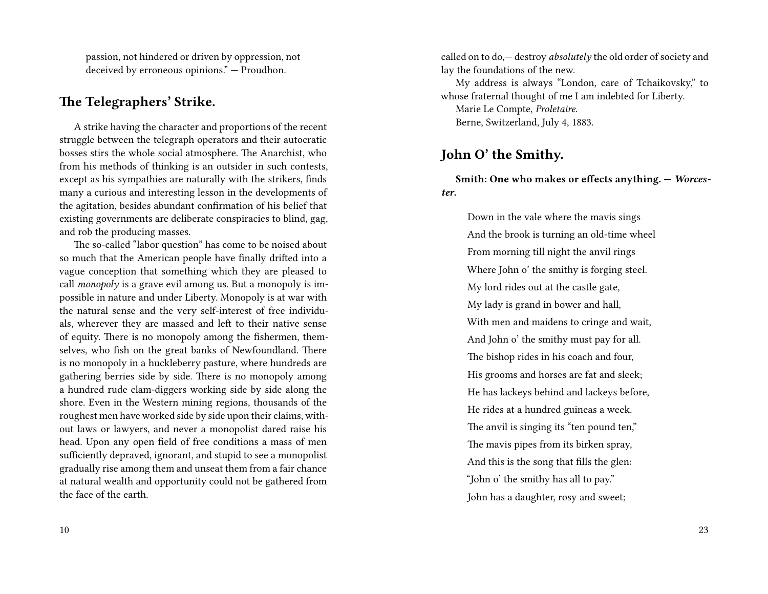passion, not hindered or driven by oppression, not deceived by erroneous opinions." — Proudhon.

#### **The Telegraphers' Strike.**

A strike having the character and proportions of the recent struggle between the telegraph operators and their autocratic bosses stirs the whole social atmosphere. The Anarchist, who from his methods of thinking is an outsider in such contests, except as his sympathies are naturally with the strikers, finds many a curious and interesting lesson in the developments of the agitation, besides abundant confirmation of his belief that existing governments are deliberate conspiracies to blind, gag, and rob the producing masses.

The so-called "labor question" has come to be noised about so much that the American people have finally drifted into a vague conception that something which they are pleased to call *monopoly* is a grave evil among us. But a monopoly is impossible in nature and under Liberty. Monopoly is at war with the natural sense and the very self-interest of free individuals, wherever they are massed and left to their native sense of equity. There is no monopoly among the fishermen, themselves, who fish on the great banks of Newfoundland. There is no monopoly in a huckleberry pasture, where hundreds are gathering berries side by side. There is no monopoly among a hundred rude clam-diggers working side by side along the shore. Even in the Western mining regions, thousands of the roughest men have worked side by side upon their claims, without laws or lawyers, and never a monopolist dared raise his head. Upon any open field of free conditions a mass of men sufficiently depraved, ignorant, and stupid to see a monopolist gradually rise among them and unseat them from a fair chance at natural wealth and opportunity could not be gathered from the face of the earth.

called on to do,— destroy *absolutely* the old order of society and lay the foundations of the new.

My address is always "London, care of Tchaikovsky," to whose fraternal thought of me I am indebted for Liberty. Marie Le Compte, *Proletaire*. Berne, Switzerland, July 4, 1883.

#### **John O' the Smithy.**

**Smith: One who makes or effects anything. —** *Worcester***.**

Down in the vale where the mavis sings And the brook is turning an old-time wheel From morning till night the anvil rings Where John o' the smithy is forging steel. My lord rides out at the castle gate, My lady is grand in bower and hall, With men and maidens to cringe and wait, And John o' the smithy must pay for all. The bishop rides in his coach and four, His grooms and horses are fat and sleek; He has lackeys behind and lackeys before, He rides at a hundred guineas a week. The anvil is singing its "ten pound ten," The mavis pipes from its birken spray, And this is the song that fills the glen: "John o' the smithy has all to pay." John has a daughter, rosy and sweet;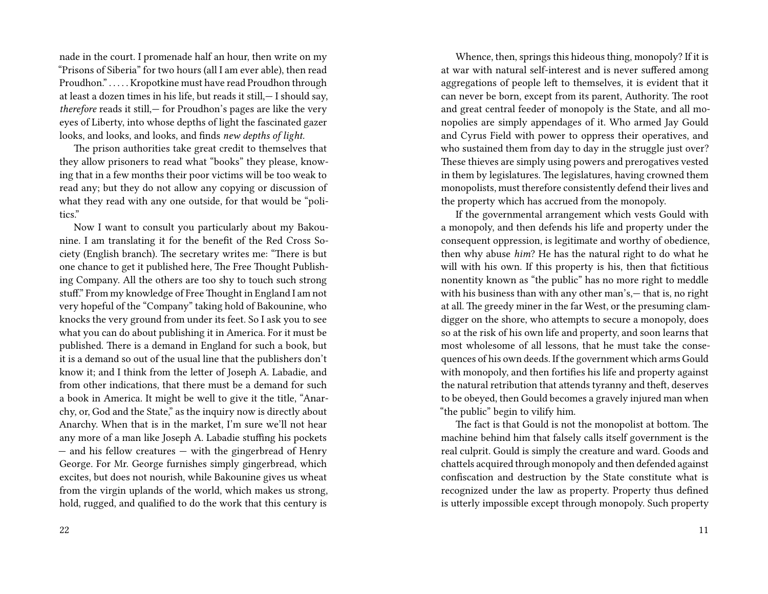nade in the court. I promenade half an hour, then write on my "Prisons of Siberia" for two hours (all I am ever able), then read Proudhon." . . . . . Kropotkine must have read Proudhon through at least a dozen times in his life, but reads it still,— I should say, *therefore* reads it still,— for Proudhon's pages are like the very eyes of Liberty, into whose depths of light the fascinated gazer looks, and looks, and looks, and finds *new depths of light.*

The prison authorities take great credit to themselves that they allow prisoners to read what "books" they please, knowing that in a few months their poor victims will be too weak to read any; but they do not allow any copying or discussion of what they read with any one outside, for that would be "politics."

Now I want to consult you particularly about my Bakounine. I am translating it for the benefit of the Red Cross Society (English branch). The secretary writes me: "There is but one chance to get it published here, The Free Thought Publishing Company. All the others are too shy to touch such strong stuff." From my knowledge of Free Thought in England I am not very hopeful of the "Company" taking hold of Bakounine, who knocks the very ground from under its feet. So I ask you to see what you can do about publishing it in America. For it must be published. There is a demand in England for such a book, but it is a demand so out of the usual line that the publishers don't know it; and I think from the letter of Joseph A. Labadie, and from other indications, that there must be a demand for such a book in America. It might be well to give it the title, "Anarchy, or, God and the State," as the inquiry now is directly about Anarchy. When that is in the market, I'm sure we'll not hear any more of a man like Joseph A. Labadie stuffing his pockets — and his fellow creatures — with the gingerbread of Henry George. For Mr. George furnishes simply gingerbread, which excites, but does not nourish, while Bakounine gives us wheat from the virgin uplands of the world, which makes us strong, hold, rugged, and qualified to do the work that this century is

Whence, then, springs this hideous thing, monopoly? If it is at war with natural self-interest and is never suffered among aggregations of people left to themselves, it is evident that it can never be born, except from its parent, Authority. The root and great central feeder of monopoly is the State, and all monopolies are simply appendages of it. Who armed Jay Gould and Cyrus Field with power to oppress their operatives, and who sustained them from day to day in the struggle just over? These thieves are simply using powers and prerogatives vested in them by legislatures. The legislatures, having crowned them monopolists, must therefore consistently defend their lives and the property which has accrued from the monopoly.

If the governmental arrangement which vests Gould with a monopoly, and then defends his life and property under the consequent oppression, is legitimate and worthy of obedience, then why abuse *him*? He has the natural right to do what he will with his own. If this property is his, then that fictitious nonentity known as "the public" has no more right to meddle with his business than with any other man's,— that is, no right at all. The greedy miner in the far West, or the presuming clamdigger on the shore, who attempts to secure a monopoly, does so at the risk of his own life and property, and soon learns that most wholesome of all lessons, that he must take the consequences of his own deeds. If the government which arms Gould with monopoly, and then fortifies his life and property against the natural retribution that attends tyranny and theft, deserves to be obeyed, then Gould becomes a gravely injured man when "the public" begin to vilify him.

The fact is that Gould is not the monopolist at bottom. The machine behind him that falsely calls itself government is the real culprit. Gould is simply the creature and ward. Goods and chattels acquired through monopoly and then defended against confiscation and destruction by the State constitute what is recognized under the law as property. Property thus defined is utterly impossible except through monopoly. Such property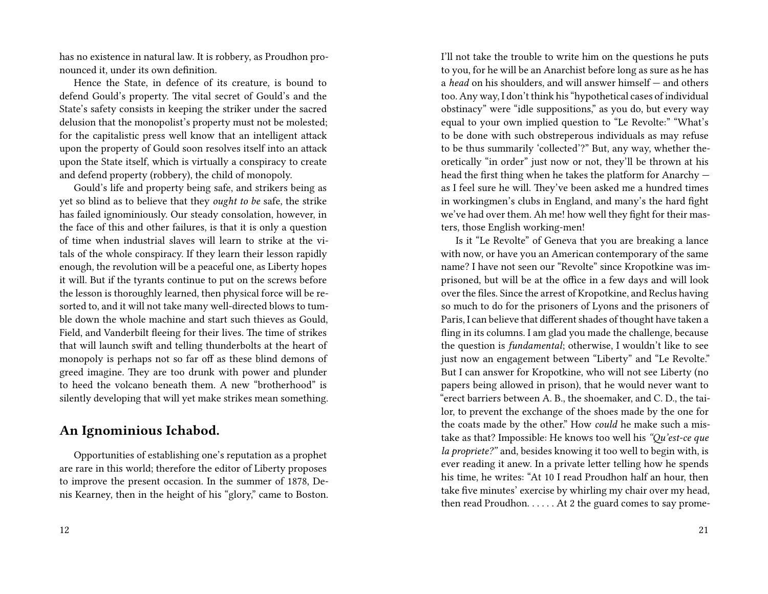has no existence in natural law. It is robbery, as Proudhon pronounced it, under its own definition.

Hence the State, in defence of its creature, is bound to defend Gould's property. The vital secret of Gould's and the State's safety consists in keeping the striker under the sacred delusion that the monopolist's property must not be molested; for the capitalistic press well know that an intelligent attack upon the property of Gould soon resolves itself into an attack upon the State itself, which is virtually a conspiracy to create and defend property (robbery), the child of monopoly.

Gould's life and property being safe, and strikers being as yet so blind as to believe that they *ought to be* safe, the strike has failed ignominiously. Our steady consolation, however, in the face of this and other failures, is that it is only a question of time when industrial slaves will learn to strike at the vitals of the whole conspiracy. If they learn their lesson rapidly enough, the revolution will be a peaceful one, as Liberty hopes it will. But if the tyrants continue to put on the screws before the lesson is thoroughly learned, then physical force will be resorted to, and it will not take many well-directed blows to tumble down the whole machine and start such thieves as Gould, Field, and Vanderbilt fleeing for their lives. The time of strikes that will launch swift and telling thunderbolts at the heart of monopoly is perhaps not so far off as these blind demons of greed imagine. They are too drunk with power and plunder to heed the volcano beneath them. A new "brotherhood" is silently developing that will yet make strikes mean something.

### **An Ignominious Ichabod.**

Opportunities of establishing one's reputation as a prophet are rare in this world; therefore the editor of Liberty proposes to improve the present occasion. In the summer of 1878, Denis Kearney, then in the height of his "glory," came to Boston.

I'll not take the trouble to write him on the questions he puts to you, for he will be an Anarchist before long as sure as he has a *head* on his shoulders, and will answer himself — and others too. Any way, I don't think his "hypothetical cases of individual obstinacy" were "idle suppositions," as you do, but every way equal to your own implied question to "Le Revolte:" "What's to be done with such obstreperous individuals as may refuse to be thus summarily 'collected'?" But, any way, whether theoretically "in order" just now or not, they'll be thrown at his head the first thing when he takes the platform for Anarchy as I feel sure he will. They've been asked me a hundred times in workingmen's clubs in England, and many's the hard fight we've had over them. Ah me! how well they fight for their masters, those English working-men!

Is it "Le Revolte" of Geneva that you are breaking a lance with now, or have you an American contemporary of the same name? I have not seen our "Revolte" since Kropotkine was imprisoned, but will be at the office in a few days and will look over the files. Since the arrest of Kropotkine, and Reclus having so much to do for the prisoners of Lyons and the prisoners of Paris, I can believe that different shades of thought have taken a fling in its columns. I am glad you made the challenge, because the question is *fundamental*; otherwise, I wouldn't like to see just now an engagement between "Liberty" and "Le Revolte." But I can answer for Kropotkine, who will not see Liberty (no papers being allowed in prison), that he would never want to "erect barriers between A. B., the shoemaker, and C. D., the tailor, to prevent the exchange of the shoes made by the one for the coats made by the other." How *could* he make such a mistake as that? Impossible: He knows too well his *"Qu'est-ce que la propriete?"* and, besides knowing it too well to begin with, is ever reading it anew. In a private letter telling how he spends his time, he writes: "At 10 I read Proudhon half an hour, then take five minutes' exercise by whirling my chair over my head, then read Proudhon. . . . . . At 2 the guard comes to say prome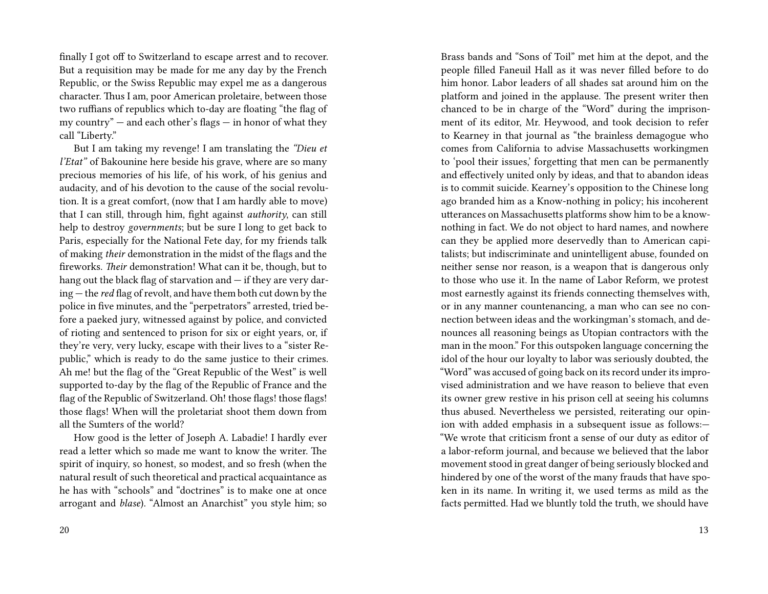finally I got off to Switzerland to escape arrest and to recover. But a requisition may be made for me any day by the French Republic, or the Swiss Republic may expel me as a dangerous character. Thus I am, poor American proletaire, between those two ruffians of republics which to-day are floating "the flag of my country" — and each other's flags — in honor of what they call "Liberty."

But I am taking my revenge! I am translating the *"Dieu et l'Etat"* of Bakounine here beside his grave, where are so many precious memories of his life, of his work, of his genius and audacity, and of his devotion to the cause of the social revolution. It is a great comfort, (now that I am hardly able to move) that I can still, through him, fight against *authority*, can still help to destroy *governments*; but be sure I long to get back to Paris, especially for the National Fete day, for my friends talk of making *their* demonstration in the midst of the flags and the fireworks. *Their* demonstration! What can it be, though, but to hang out the black flag of starvation and — if they are very daring — the *red* flag of revolt, and have them both cut down by the police in five minutes, and the "perpetrators" arrested, tried before a paeked jury, witnessed against by police, and convicted of rioting and sentenced to prison for six or eight years, or, if they're very, very lucky, escape with their lives to a "sister Republic," which is ready to do the same justice to their crimes. Ah me! but the flag of the "Great Republic of the West" is well supported to-day by the flag of the Republic of France and the flag of the Republic of Switzerland. Oh! those flags! those flags! those flags! When will the proletariat shoot them down from all the Sumters of the world?

How good is the letter of Joseph A. Labadie! I hardly ever read a letter which so made me want to know the writer. The spirit of inquiry, so honest, so modest, and so fresh (when the natural result of such theoretical and practical acquaintance as he has with "schools" and "doctrines" is to make one at once arrogant and *blase*). "Almost an Anarchist" you style him; so Brass bands and "Sons of Toil" met him at the depot, and the people filled Faneuil Hall as it was never filled before to do him honor. Labor leaders of all shades sat around him on the platform and joined in the applause. The present writer then chanced to be in charge of the "Word" during the imprisonment of its editor, Mr. Heywood, and took decision to refer to Kearney in that journal as "the brainless demagogue who comes from California to advise Massachusetts workingmen to 'pool their issues,' forgetting that men can be permanently and effectively united only by ideas, and that to abandon ideas is to commit suicide. Kearney's opposition to the Chinese long ago branded him as a Know-nothing in policy; his incoherent utterances on Massachusetts platforms show him to be a knownothing in fact. We do not object to hard names, and nowhere can they be applied more deservedly than to American capitalists; but indiscriminate and unintelligent abuse, founded on neither sense nor reason, is a weapon that is dangerous only to those who use it. In the name of Labor Reform, we protest most earnestly against its friends connecting themselves with, or in any manner countenancing, a man who can see no connection between ideas and the workingman's stomach, and denounces all reasoning beings as Utopian contractors with the man in the moon." For this outspoken language concerning the idol of the hour our loyalty to labor was seriously doubted, the "Word" was accused of going back on its record under its improvised administration and we have reason to believe that even its owner grew restive in his prison cell at seeing his columns thus abused. Nevertheless we persisted, reiterating our opinion with added emphasis in a subsequent issue as follows:— "We wrote that criticism front a sense of our duty as editor of a labor-reform journal, and because we believed that the labor movement stood in great danger of being seriously blocked and hindered by one of the worst of the many frauds that have spoken in its name. In writing it, we used terms as mild as the facts permitted. Had we bluntly told the truth, we should have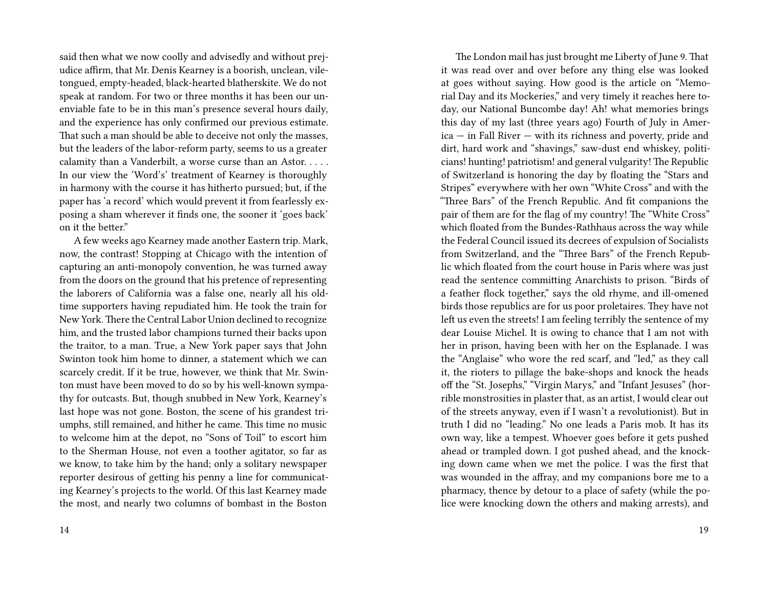said then what we now coolly and advisedly and without prejudice affirm, that Mr. Denis Kearney is a boorish, unclean, viletongued, empty-headed, black-hearted blatherskite. We do not speak at random. For two or three months it has been our unenviable fate to be in this man's presence several hours daily, and the experience has only confirmed our previous estimate. That such a man should be able to deceive not only the masses, but the leaders of the labor-reform party, seems to us a greater calamity than a Vanderbilt, a worse curse than an Astor. . . . . In our view the 'Word's' treatment of Kearney is thoroughly in harmony with the course it has hitherto pursued; but, if the paper has 'a record' which would prevent it from fearlessly exposing a sham wherever it finds one, the sooner it 'goes back' on it the better."

A few weeks ago Kearney made another Eastern trip. Mark, now, the contrast! Stopping at Chicago with the intention of capturing an anti-monopoly convention, he was turned away from the doors on the ground that his pretence of representing the laborers of California was a false one, nearly all his oldtime supporters having repudiated him. He took the train for New York.There the Central Labor Union declined to recognize him, and the trusted labor champions turned their backs upon the traitor, to a man. True, a New York paper says that John Swinton took him home to dinner, a statement which we can scarcely credit. If it be true, however, we think that Mr. Swinton must have been moved to do so by his well-known sympathy for outcasts. But, though snubbed in New York, Kearney's last hope was not gone. Boston, the scene of his grandest triumphs, still remained, and hither he came. This time no music to welcome him at the depot, no "Sons of Toil" to escort him to the Sherman House, not even a toother agitator, so far as we know, to take him by the hand; only a solitary newspaper reporter desirous of getting his penny a line for communicating Kearney's projects to the world. Of this last Kearney made the most, and nearly two columns of bombast in the Boston

14

The London mail has just brought me Liberty of June 9. That it was read over and over before any thing else was looked at goes without saying. How good is the article on "Memorial Day and its Mockeries," and very timely it reaches here today, our National Buncombe day! Ah! what memories brings this day of my last (three years ago) Fourth of July in America — in Fall River — with its richness and poverty, pride and dirt, hard work and "shavings," saw-dust end whiskey, politicians! hunting! patriotism! and general vulgarity! The Republic of Switzerland is honoring the day by floating the "Stars and Stripes" everywhere with her own "White Cross" and with the "Three Bars" of the French Republic. And fit companions the pair of them are for the flag of my country! The "White Cross" which floated from the Bundes-Rathhaus across the way while the Federal Council issued its decrees of expulsion of Socialists from Switzerland, and the "Three Bars" of the French Republic which floated from the court house in Paris where was just read the sentence committing Anarchists to prison. "Birds of a feather flock together," says the old rhyme, and ill-omened birds those republics are for us poor proletaires. They have not left us even the streets! I am feeling terribly the sentence of my dear Louise Michel. It is owing to chance that I am not with her in prison, having been with her on the Esplanade. I was the "Anglaise" who wore the red scarf, and "led," as they call it, the rioters to pillage the bake-shops and knock the heads off the "St. Josephs," "Virgin Marys," and "Infant Jesuses" (horrible monstrosities in plaster that, as an artist, I would clear out of the streets anyway, even if I wasn't a revolutionist). But in truth I did no "leading." No one leads a Paris mob. It has its own way, like a tempest. Whoever goes before it gets pushed ahead or trampled down. I got pushed ahead, and the knocking down came when we met the police. I was the first that was wounded in the affray, and my companions bore me to a pharmacy, thence by detour to a place of safety (while the police were knocking down the others and making arrests), and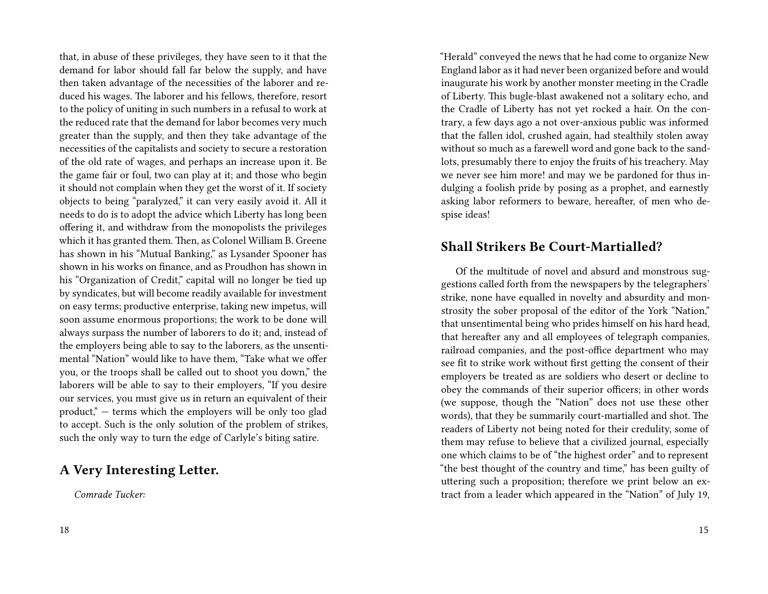that, in abuse of these privileges, they have seen to it that the demand for labor should fall far below the supply, and have then taken advantage of the necessities of the laborer and reduced his wages. The laborer and his fellows, therefore, resort to the policy of uniting in such numbers in a refusal to work at the reduced rate that the demand for labor becomes very much greater than the supply, and then they take advantage of the necessities of the capitalists and society to secure a restoration of the old rate of wages, and perhaps an increase upon it. Be the game fair or foul, two can play at it; and those who begin it should not complain when they get the worst of it. If society objects to being "paralyzed," it can very easily avoid it. All it needs to do is to adopt the advice which Liberty has long been offering it, and withdraw from the monopolists the privileges which it has granted them. Then, as Colonel William B. Greene has shown in his "Mutual Banking," as Lysander Spooner has shown in his works on finance, and as Proudhon has shown in his "Organization of Credit," capital will no longer be tied up by syndicates, but will become readily available for investment on easy terms; productive enterprise, taking new impetus, will soon assume enormous proportions; the work to be done will always surpass the number of laborers to do it; and, instead of the employers being able to say to the laborers, as the unsentimental "Nation" would like to have them, "Take what we offer you, or the troops shall be called out to shoot you down," the laborers will be able to say to their employers, "If you desire our services, you must give us in return an equivalent of their product," — terms which the employers will be only too glad to accept. Such is the only solution of the problem of strikes, such the only way to turn the edge of Carlyle's biting satire.

#### **A Very Interesting Letter.**

*Comrade Tucker:*

"Herald" conveyed the news that he had come to organize New England labor as it had never been organized before and would inaugurate his work by another monster meeting in the Cradle of Liberty. This bugle-blast awakened not a solitary echo, and the Cradle of Liberty has not yet rocked a hair. On the contrary, a few days ago a not over-anxious public was informed that the fallen idol, crushed again, had stealthily stolen away without so much as a farewell word and gone back to the sandlots, presumably there to enjoy the fruits of his treachery. May we never see him more! and may we be pardoned for thus indulging a foolish pride by posing as a prophet, and earnestly asking labor reformers to beware, hereafter, of men who despise ideas!

#### **Shall Strikers Be Court-Martialled?**

Of the multitude of novel and absurd and monstrous suggestions called forth from the newspapers by the telegraphers' strike, none have equalled in novelty and absurdity and monstrosity the sober proposal of the editor of the York "Nation," that unsentimental being who prides himself on his hard head, that hereafter any and all employees of telegraph companies, railroad companies, and the post-office department who may see fit to strike work without first getting the consent of their employers be treated as are soldiers who desert or decline to obey the commands of their superior officers; in other words (we suppose, though the "Nation" does not use these other words), that they be summarily court-martialled and shot. The readers of Liberty not being noted for their credulity, some of them may refuse to believe that a civilized journal, especially one which claims to be of "the highest order" and to represent "the best thought of the country and time," has been guilty of uttering such a proposition; therefore we print below an extract from a leader which appeared in the "Nation" of July 19,